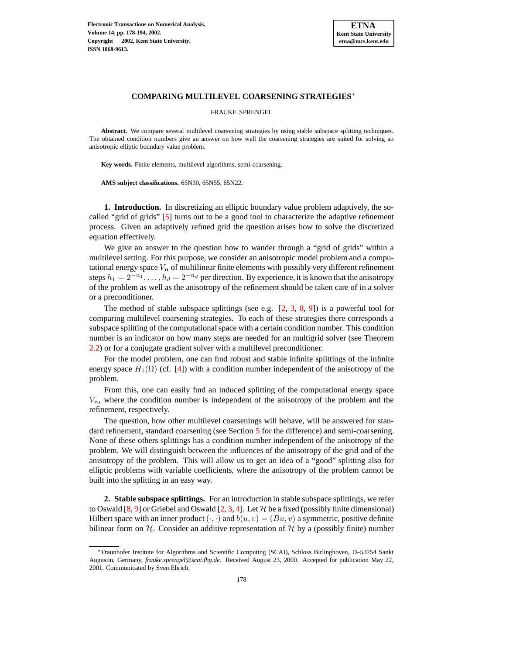

FRAUKE SPRENGEL

Abstract. We compare several multilevel coarsening strategies by using stable subspace splitting techniques. The obtained condition numbers give an answer on how well the coarsening strategies are suited for solving an anisotropic elliptic boundary value problem.

**Key words.** Finite elements, multilevel algorithms, semi-coarsening.

**AMS subject classifications.** 65N30, 65N55, 65N22.

**1. Introduction.** In discretizing an elliptic boundary value problem adaptively, the socalled "grid of grids" [\[5\]](#page-16-0) turns out to be a good tool to characterize the adaptive refinement process. Given an adaptively refined grid the question arises how to solve the discretized equation effectively.

We give an answer to the question how to wander through a "grid of grids" within a multilevel setting. For this purpose, we consider an anisotropic model problem and a computational energy space  $V_n$  of multilinear finite elements with possibly very different refinement steps  $h_1 = 2^{-n_1}, \ldots, h_d = 2^{-n_d}$  per direction. By experience, it is known that the anisotropy of the problem as well as the anisotropy of the refinement should be taken care of in a solver or a preconditioner.

The method of stable subspace splittings (see e.g.  $[2, 3, 8, 9]$  $[2, 3, 8, 9]$  $[2, 3, 8, 9]$  $[2, 3, 8, 9]$  $[2, 3, 8, 9]$  $[2, 3, 8, 9]$  $[2, 3, 8, 9]$ ) is a powerful tool for comparing multilevel coarsening strategies. To each of these strategies there corresponds a subspace splitting of the computational space with a certain condition number. This condition number is an indicator on how many steps are needed for an multigrid solver (see Theorem [2.2\)](#page-2-0) or for a conjugate gradient solver with a multilevel preconditioner.

For the model problem, one can find robust and stable infinite splittings of the infinite energy space  $H_1(\Omega)$  (cf. [\[4\]](#page-16-5)) with a condition number independent of the anisotropy of the problem.

From this, one can easily find an induced splitting of the computational energy space  $V_n$ , where the condition number is independent of the anisotropy of the problem and the refinement, respectively.

The question, how other multilevel coarsenings will behave, will be answered for stan-dard refinement, standard coarsening (see Section [5](#page-4-0) for the difference) and semi-coarsening. None of these others splittings has a condition number independent of the anisotropy of the problem. We will distinguish between the influences of the anisotropy of the grid and of the anisotropy of the problem. This will allow us to get an idea of a "good" splitting also for elliptic problems with variable coefficients, where the anisotropy of the problem cannot be built into the splitting in an easy way.

**2. Stable subspace splittings.** For an introduction in stable subspace splittings, we refer to Oswald [\[8,](#page-16-3) [9\]](#page-16-4) or Griebel and Oswald [\[2,](#page-16-1) [3,](#page-16-2) [4\]](#page-16-5). Let  $H$  be a fixed (possibly finite dimensional) Hilbert space with an inner product  $(\cdot, \cdot)$  and  $b(u, v) = (Bu, v)$  a symmetric, positive definite bilinear form on  $H$ . Consider an additive representation of  $H$  by a (possibly finite) number

<sup>∗</sup>Fraunhofer Institute for Algorithms and Scientific Computing (SCAI), Schloss Birlinghoven, D–53754 Sankt Augustin, Germany, *frauke.sprengel@scai.fhg.de*. Received August 23, 2000. Accepted for publication May 22, 2001. Communicated by Sven Ehrich.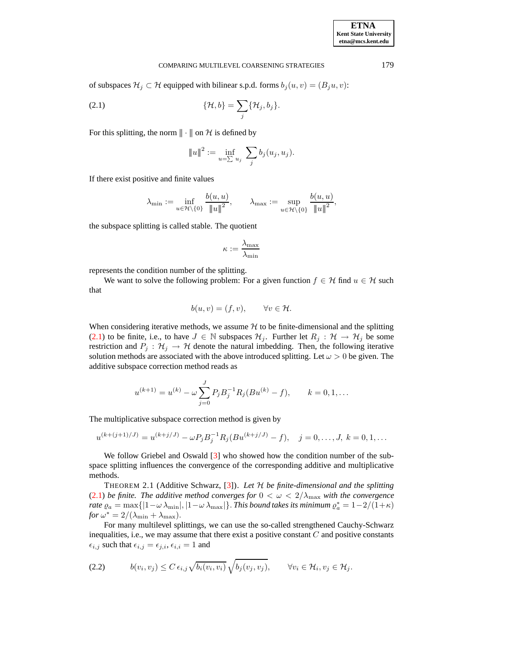<span id="page-1-0"></span>

| <b>ETNA</b>                  |
|------------------------------|
| <b>Kent State University</b> |
| etna@mcs.kent.edu            |

of subspaces  $\mathcal{H}_j \subset \mathcal{H}$  equipped with bilinear s.p.d. forms  $b_j(u, v) = (B_j u, v)$ :

$$
\{\mathcal{H},b\}=\sum_j\{\mathcal{H}_j,b_j\}.
$$

For this splitting, the norm  $\|\cdot\|$  on H is defined by

$$
||u||^2 := \inf_{u=\sum u_j} \sum_j b_j(u_j, u_j).
$$

If there exist positive and finite values

$$
\lambda_{\min} := \inf_{u \in \mathcal{H} \setminus \{0\}} \frac{b(u, u)}{\|u\|^2}, \qquad \lambda_{\max} := \sup_{u \in \mathcal{H} \setminus \{0\}} \frac{b(u, u)}{\|u\|^2},
$$

the subspace splitting is called stable. The quotient

$$
\kappa := \frac{\lambda_{\max}}{\lambda_{\min}}
$$

represents the condition number of the splitting.

We want to solve the following problem: For a given function  $f \in \mathcal{H}$  find  $u \in \mathcal{H}$  such that

$$
b(u, v) = (f, v), \qquad \forall v \in \mathcal{H}.
$$

When considering iterative methods, we assume  $H$  to be finite-dimensional and the splitting [\(2.1\)](#page-1-0) to be finite, i.e., to have  $J \in \mathbb{N}$  subspaces  $\mathcal{H}_j$ . Further let  $R_j : \mathcal{H} \to \mathcal{H}_j$  be some restriction and  $P_j$ :  $\mathcal{H}_j \rightarrow \mathcal{H}$  denote the natural imbedding. Then, the following iterative solution methods are associated with the above introduced splitting. Let  $\omega > 0$  be given. The additive subspace correction method reads as

$$
u^{(k+1)} = u^{(k)} - \omega \sum_{j=0}^{J} P_j B_j^{-1} R_j (B u^{(k)} - f), \qquad k = 0, 1, \dots
$$

The multiplicative subspace correction method is given by

$$
u^{(k+(j+1)/J)} = u^{(k+j/J)} - \omega P_j B_j^{-1} R_j (B u^{(k+j/J)} - f), \quad j = 0, \dots, J, \ k = 0, 1, \dots
$$

We follow Griebel and Oswald [\[3\]](#page-16-2) who showed how the condition number of the subspace splitting influences the convergence of the corresponding additive and multiplicative methods.

THEOREM 2.1 (Additive Schwarz, [\[3\]](#page-16-2)). *Let* H *be finite-dimensional and the splitting* [\(2.1\)](#page-1-0) *be finite. The additive method converges for*  $0 < \omega < 2/\lambda_{\text{max}}$  *with the convergence rate*  $\varrho_a = \max\{|1-\omega\lambda_{\min}|,|1-\omega\lambda_{\max}|\}$ . *This bound takes its minimum*  $\varrho_a^* = 1-2/(1+\kappa)$ *for*  $\omega^* = 2/(\lambda_{\min} + \lambda_{\max})$ .

<span id="page-1-1"></span>For many multilevel splittings, we can use the so-called strengthened Cauchy-Schwarz inequalities, i.e., we may assume that there exist a positive constant  $C$  and positive constants  $\epsilon_{i,j}$  such that  $\epsilon_{i,j} = \epsilon_{j,i}, \epsilon_{i,i} = 1$  and

$$
(2.2) \t b(v_i, v_j) \le C \epsilon_{i,j} \sqrt{b_i(v_i, v_i)} \sqrt{b_j(v_j, v_j)}, \t \forall v_i \in \mathcal{H}_i, v_j \in \mathcal{H}_j.
$$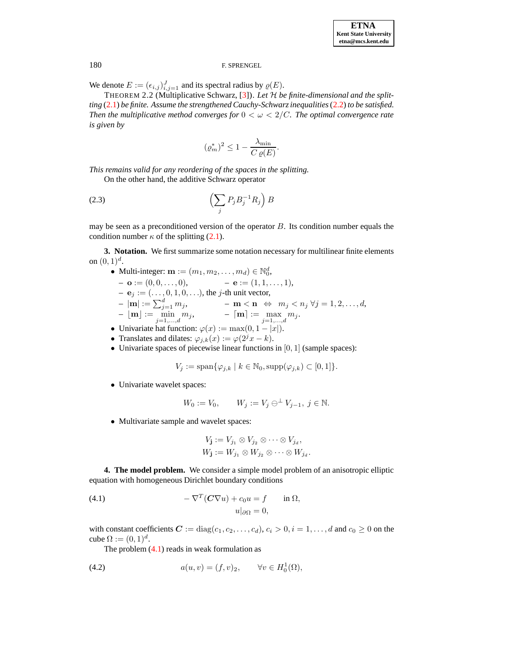We denote  $E := (\epsilon_{i,j})_{i,j=1}^J$  and its spectral radius by  $\varrho(E)$ .

<span id="page-2-0"></span>THEOREM 2.2 (Multiplicative Schwarz, [\[3\]](#page-16-2)). *Let* H *be finite-dimensional and the splitting* [\(2.1\)](#page-1-0) *be finite. Assume the strengthened Cauchy-Schwarzinequalities*[\(2.2\)](#page-1-1) *to be satisfied. Then* the multiplicative method converges for  $0 < \omega < 2/C$ . The optimal convergence rate *is given by*

$$
(\varrho_m^*)^2 \le 1 - \frac{\lambda_{\min}}{C \varrho(E)}.
$$

*This remains valid for any reordering of the spaces in the splitting.*

On the other hand, the additive Schwarz operator

$$
(2.3)\qquad \qquad \left(\sum_{j} P_j B_j^{-1} R_j\right) B
$$

may be seen as a preconditioned version of the operator  $B$ . Its condition number equals the condition number  $\kappa$  of the splitting [\(2.1\)](#page-1-0).

**3. Notation.** We first summarize some notation necessary for multilinear finite elements on  $(0, 1)^d$ .

- Multi-integer:  $\mathbf{m} := (m_1, m_2, \dots, m_d) \in \mathbb{N}_0^d$ ,
	- $\mathbf{o} := (0, 0, \ldots, 0), \quad \mathbf{e} := (1, 1, \ldots, 1),$
	- $\mathbf{e}_j := (\ldots, 0, 1, 0, \ldots)$ , the *j*-th unit vector,
	- $-|\mathbf{m}| := \sum_{j=1}^d m_j, \qquad \qquad -\mathbf{m} < \mathbf{n} \iff m_j < n_j \; \forall j = 1, 2, \dots, d,$  $\begin{split} -\lfloor \mathbf{m} \rfloor &:= \min_{j=1,...,d} m_j, \qquad \qquad -\lceil \mathbf{m} \rceil := \max_{j=1,...,d} m_j. \end{split}$
	- Univariate hat function:  $\varphi(x) := \max(0, 1 |x|)$ .
	- Translates and dilates:  $\varphi_{j,k}(x) := \varphi(2^{j}x k)$ .
	- Univariate spaces of piecewise linear functions in  $[0, 1]$  (sample spaces):

$$
V_j := \text{span}\{\varphi_{j,k} \mid k \in \mathbb{N}_0, \text{supp}(\varphi_{j,k}) \subset [0,1]\}.
$$

• Univariate wavelet spaces:

$$
W_0 := V_0, \qquad W_j := V_j \ominus^{\perp} V_{j-1}, \ j \in \mathbb{N}.
$$

• Multivariate sample and wavelet spaces:

$$
V_{\mathbf{j}} := V_{j_1} \otimes V_{j_2} \otimes \cdots \otimes V_{j_d},
$$
  

$$
W_{\mathbf{j}} := W_{j_1} \otimes W_{j_2} \otimes \cdots \otimes W_{j_d}.
$$

**4. The model problem.** We consider a simple model problem of an anisotropic elliptic equation with homogeneous Dirichlet boundary conditions

<span id="page-2-1"></span>(4.1) 
$$
-\nabla^T(C\nabla u) + c_0 u = f \quad \text{in } \Omega,
$$

$$
u|_{\partial\Omega} = 0,
$$

with constant coefficients  $C := diag(c_1, c_2, \ldots, c_d), c_i > 0, i = 1, \ldots, d$  and  $c_0 \ge 0$  on the cube  $\Omega := (0,1)^d$ .

The problem  $(4.1)$  reads in weak formulation as

(4.2) 
$$
a(u, v) = (f, v)_2, \quad \forall v \in H_0^1(\Omega),
$$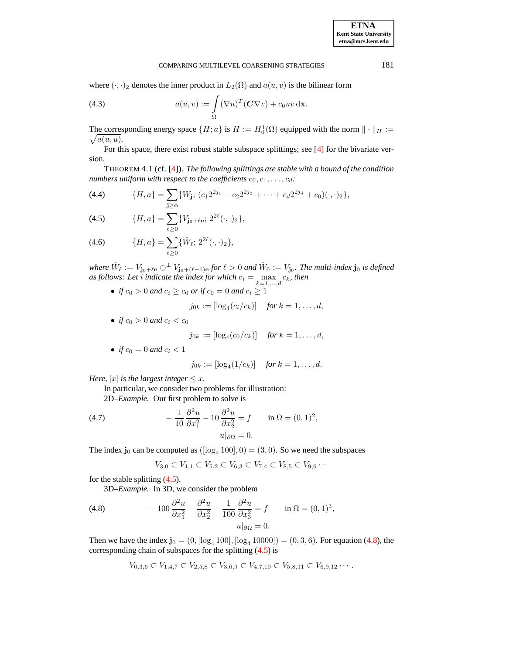where  $(\cdot, \cdot)_2$  denotes the inner product in  $L_2(\Omega)$  and  $a(u, v)$  is the bilinear form

(4.3) 
$$
a(u,v) := \int_{\Omega} (\nabla u)^T (\mathbf{C} \nabla v) + c_0 uv \, \mathrm{d}\mathbf{x}.
$$

The corresponding energy space  $\{H; a\}$  is  $H := H_0^1(\Omega)$  equipped with the norm  $\|\cdot\|_H :=$  $\sqrt{a(u, u)}$ .

<span id="page-3-2"></span>For this space, there exist robust stable subspace splittings; see [\[4\]](#page-16-5) for the bivariate version.

THEOREM 4.1 (cf. [\[4\]](#page-16-5)). *The following splittings are stable with a bound of the condition numbers uniform with respect to the coefficients*  $c_0, c_1, \ldots, c_d$ :

<span id="page-3-0"></span>(4.4) 
$$
\{H, a\} = \sum_{\mathbf{j} \ge \mathbf{o}} \{W_{\mathbf{j}}; (c_1 2^{2j_1} + c_2 2^{2j_2} + \dots + c_d 2^{2j_d} + c_0)(\cdot, \cdot)_2\},\
$$

(4.5) 
$$
\{H, a\} = \sum_{\ell \geq 0} \{V_{\mathbf{j}_0 + \ell \mathbf{e}}; 2^{2\ell} (\cdot, \cdot)_2\},
$$

(4.6) 
$$
\{H, a\} = \sum_{\ell \geq 0} \{\hat{W}_{\ell}; 2^{2\ell}(\cdot, \cdot)_2\},
$$

where  $\hat{W}_\ell := V_{\mathbf{j_0}+\ell \mathbf{e}} \ominus^{\perp} V_{\mathbf{j_0}+(\ell-1)\mathbf{e}}$  for  $\ell > 0$  and  $\hat{W}_0 := V_{\mathbf{j_0}}$ . The multi-index  $\mathbf{j_0}$  is defined *as follows:* Let *i* indicate the index for which  $c_i = \max_{k=1,...,d} c_k$ , then

• *if*  $c_0 > 0$  *and*  $c_i \ge c_0$  *or if*  $c_0 = 0$  *and*  $c_i \ge 1$ 

$$
j_{0k} := [\log_4(c_i/c_k)] \quad \text{for } k = 1, \ldots, d,
$$

• *if*  $c_0 > 0$  *and*  $c_i < c_0$ 

$$
j_{0k} := [\log_4(c_0/c_k)] \quad \text{for } k = 1, ..., d,
$$

• *if*  $c_0 = 0$  *and*  $c_i < 1$ 

$$
j_{0k} := [\log_4(1/c_k)] \quad \text{for } k = 1, ..., d.
$$

*Here,*  $[x]$  *is the largest integer*  $\leq x$ *.* 

In particular, we consider two problems for illustration: 2D*–Example.* Our first problem to solve is

<span id="page-3-3"></span>(4.7) 
$$
-\frac{1}{10} \frac{\partial^2 u}{\partial x_1^2} - 10 \frac{\partial^2 u}{\partial x_2^2} = f \quad \text{in } \Omega = (0, 1)^2, u|_{\partial \Omega} = 0.
$$

The index  $\mathbf{j}_0$  can be computed as  $([\log_4 100], 0) = (3, 0)$ . So we need the subspaces

$$
V_{3,0} \subset V_{4,1} \subset V_{5,2} \subset V_{6,3} \subset V_{7,4} \subset V_{8,5} \subset V_{9,6} \cdots
$$

for the stable splitting [\(4.5\)](#page-3-0).

3D*–Example.* In 3D, we consider the problem

<span id="page-3-1"></span>(4.8) 
$$
-100 \frac{\partial^2 u}{\partial x_1^2} - \frac{\partial^2 u}{\partial x_2^2} - \frac{1}{100} \frac{\partial^2 u}{\partial x_3^2} = f \quad \text{in } \Omega = (0,1)^3,
$$

$$
u|_{\partial \Omega} = 0.
$$

Then we have the index  $\mathbf{j}_0 = (0, [\log_4 100], [\log_4 10000]) = (0, 3, 6)$ . For equation [\(4.8\)](#page-3-1), the corresponding chain of subspaces for the splitting [\(4.5\)](#page-3-0) is

$$
V_{0,3,6} \subset V_{1,4,7} \subset V_{2,5,8} \subset V_{3,6,9} \subset V_{4,7,10} \subset V_{5,8,11} \subset V_{6,9,12} \cdots
$$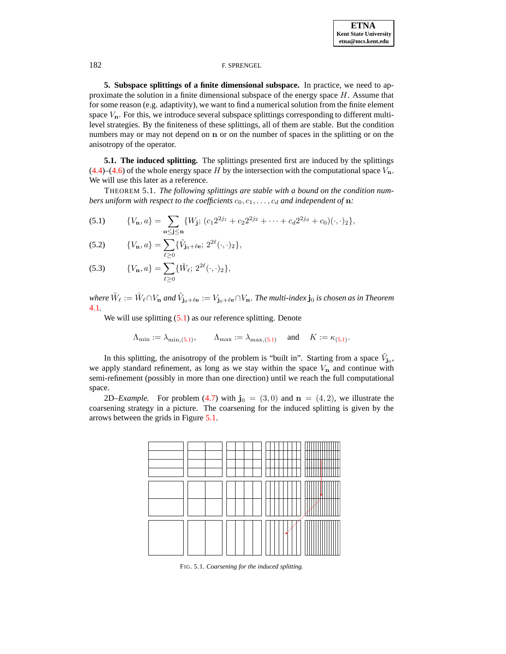<span id="page-4-0"></span>**5. Subspace splittings of a finite dimensional subspace.** In practice, we need to approximate the solution in a finite dimensional subspace of the energy space  $H$ . Assume that for some reason (e.g. adaptivity), we want to find a numerical solution from the finite element space  $V_n$ . For this, we introduce several subspace splittings corresponding to different multilevel strategies. By the finiteness of these splittings, all of them are stable. But the condition numbers may or may not depend on n or on the number of spaces in the splitting or on the anisotropy of the operator.

**5.1. The induced splitting.** The splittings presented first are induced by the splittings  $(4.4)$ – $(4.6)$  of the whole energy space H by the intersection with the computational space  $V<sub>n</sub>$ . We will use this later as a reference.

THEOREM 5.1. *The following splittings are stable with a bound on the condition numbers uniform with respect to the coefficients*  $c_0, c_1, \ldots, c_d$  *and independent of* **n**:

<span id="page-4-1"></span>(5.1) 
$$
\{V_{\mathbf{n}}, a\} = \sum_{\mathbf{o} \leq \mathbf{j} \leq \mathbf{n}} \{W_{\mathbf{j}}; (c_1 2^{2j_1} + c_2 2^{2j_2} + \dots + c_d 2^{2j_d} + c_0)(\cdot, \cdot)_2\},
$$

(5.2) 
$$
\{V_{\mathbf{n}}, a\} = \sum_{\ell \geq 0} \{\tilde{V}_{\mathbf{j}_0 + \ell \mathbf{e}}; 2^{2\ell}(\cdot, \cdot)_2\},
$$

(5.3) 
$$
\{V_{\mathbf{n}}, a\} = \sum_{\ell \geq 0} \{\tilde{W}_{\ell}; 2^{2\ell}(\cdot, \cdot)_2\},\
$$

where  $\tilde{W}_\ell:=\hat{W}_\ell\cap V_{\bf n}$  and  $\tilde{V}_{{\bf j_0}+\ell {\bf e}}:=V_{{\bf j_0}+\ell {\bf e}}\cap V_{\bf n}.$  The multi-index  ${\bf j_0}$  is chosen as in Theorem [4.1](#page-3-2)*.*

We will use splitting  $(5.1)$  as our reference splitting. Denote

$$
\Lambda_{\min} := \lambda_{\min, (5.1)}, \qquad \Lambda_{\max} := \lambda_{\max, (5.1)} \quad \text{and} \quad K := \kappa_{(5.1)}.
$$

In this splitting, the anisotropy of the problem is "built in". Starting from a space  $\tilde{V}_{j_0}$ , we apply standard refinement, as long as we stay within the space  $V_n$  and continue with semi-refinement (possibly in more than one direction) until we reach the full computational space.

2D–*Example*. For problem [\(4.7\)](#page-3-3) with  $\mathbf{j}_0 = (3,0)$  and  $\mathbf{n} = (4,2)$ , we illustrate the coarsening strategy in a picture. The coarsening for the induced splitting is given by the arrows between the grids in Figure [5.1.](#page-14-0)



FIG. 5.1. *Coarsening for the induced splitting.*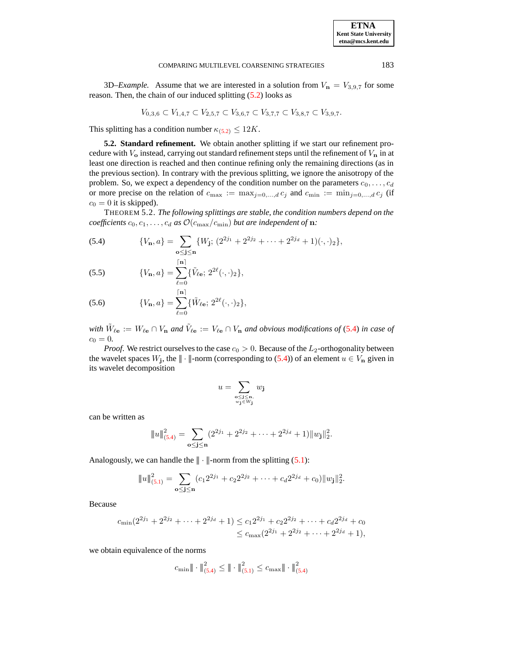3D–*Example*. Assume that we are interested in a solution from  $V_n = V_{3,9,7}$  for some reason. Then, the chain of our induced splitting [\(5.2\)](#page-4-1) looks as

$$
V_{0,3,6} \subset V_{1,4,7} \subset V_{2,5,7} \subset V_{3,6,7} \subset V_{3,7,7} \subset V_{3,8,7} \subset V_{3,9,7}.
$$

This splitting has a condition number  $\kappa_{(5,2)} \leq 12K$ .

**5.2. Standard refinement.** We obtain another splitting if we start our refinement procedure with  $V_0$  instead, carrying out standard refinement steps until the refinement of  $V_n$  in at least one direction is reached and then continue refining only the remaining directions (as in the previous section). In contrary with the previous splitting, we ignore the anisotropy of the problem. So, we expect a dependency of the condition number on the parameters  $c_0, \ldots, c_d$ or more precise on the relation of  $c_{\text{max}} := \max_{j=0,\dots,d} c_j$  and  $c_{\text{min}} := \min_{j=0,\dots,d} c_j$  (if  $c_0 = 0$  it is skipped).

<span id="page-5-1"></span>THEOREM 5.2. *The following splittings are stable, the condition numbers depend on the coefficients*  $c_0, c_1, \ldots, c_d$  *as*  $\mathcal{O}(c_{\text{max}}/c_{\text{min}})$  *but are independent of* **n**:

<span id="page-5-0"></span>(5.4) 
$$
\{V_{\mathbf{n}}, a\} = \sum_{\mathbf{o} \leq \mathbf{j} \leq \mathbf{n}} \{W_{\mathbf{j}}; (2^{2j_1} + 2^{2j_2} + \cdots + 2^{2j_d} + 1)(\cdot, \cdot)_2\},\
$$

(5.5) 
$$
\{V_{\mathbf{n}}, a\} = \sum_{\ell=0}^{\lceil \mathbf{n} \rceil} {\{\tilde{V}_{\ell \mathbf{e}}; 2^{2\ell}(\cdot, \cdot)_2\}},
$$

(5.6) 
$$
\{V_{\mathbf{n}}, a\} = \sum_{\ell=0}^{\lceil \mathbf{n} \rceil} \{\tilde{W}_{\ell \mathbf{e}}; 2^{2\ell}(\cdot, \cdot)_{2}\},
$$

with  $\tilde{W}_{\ell e} := W_{\ell e} \cap V_n$  and  $\tilde{V}_{\ell e} := V_{\ell e} \cap V_n$  and obvious modifications of [\(5.4\)](#page-5-0) in case of  $c_0 = 0.$ 

*Proof.* We restrict ourselves to the case  $c_0 > 0$ . Because of the  $L_2$ -orthogonality between the wavelet spaces  $W_j$ , the  $\|\cdot\|$ -norm (corresponding to [\(5.4\)](#page-5-0)) of an element  $u \in V_n$  given in its wavelet decomposition

$$
u = \sum_{\substack{\mathbf{o} \le \mathbf{j} \le \mathbf{n}, \\ w_{\mathbf{j}} \in W_{\mathbf{j}}}} w_{\mathbf{j}}
$$

can be written as

$$
||u||_{(5,4)}^2 = \sum_{\mathbf{o} \leq \mathbf{j} \leq \mathbf{n}} (2^{2j_1} + 2^{2j_2} + \cdots + 2^{2j_d} + 1)||w_{\mathbf{j}}||_2^2.
$$

Analogously, we can handle the  $\| \cdot \|$ -norm from the splitting [\(5.1\)](#page-4-1):

$$
||u||_{(5.1)}^2 = \sum_{\substack{\mathbf{o} \leq \mathbf{j} \leq \mathbf{n}}} (c_1 2^{2j_1} + c_2 2^{2j_2} + \dots + c_d 2^{2j_d} + c_0) ||w_{\mathbf{j}}||_2^2.
$$

Because

$$
c_{\min}(2^{2j_1} + 2^{2j_2} + \dots + 2^{2j_d} + 1) \le c_1 2^{2j_1} + c_2 2^{2j_2} + \dots + c_d 2^{2j_d} + c_0
$$
  

$$
\le c_{\max}(2^{2j_1} + 2^{2j_2} + \dots + 2^{2j_d} + 1),
$$

we obtain equivalence of the norms

$$
c_{\min} \| \cdot \|_{(5.4)}^2 \le \| \cdot \|_{(5.1)}^2 \le c_{\max} \| \cdot \|_{(5.4)}^2
$$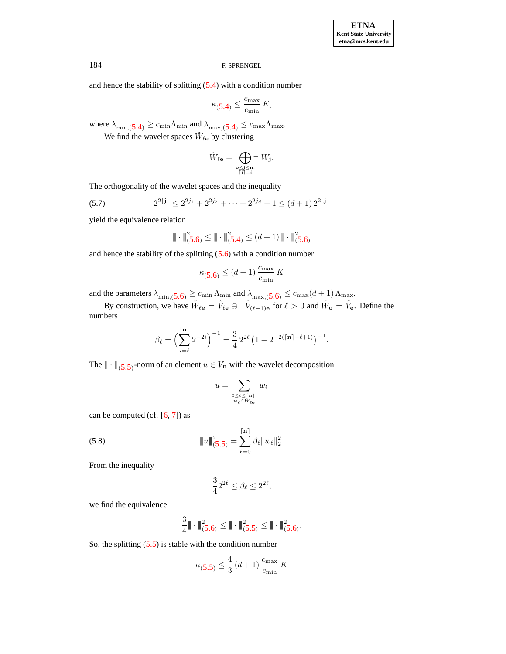**ETNA Kent State University etna@mcs.kent.edu**

# 184 F. SPRENGEL

and hence the stability of splitting [\(5.4\)](#page-5-0) with a condition number

$$
\kappa_{\text{(5.4)}} \le \frac{c_{\text{max}}}{c_{\text{min}}} \, K,
$$

where  $\lambda_{\min,5.4} \geq c_{\min} \Lambda_{\min}$  $\lambda_{\min,5.4} \geq c_{\min} \Lambda_{\min}$  $\lambda_{\min,5.4} \geq c_{\min} \Lambda_{\min}$  and  $\lambda_{\max,5.4} \leq c_{\max} \Lambda_{\max}$ .

We find the wavelet spaces  $\tilde{W}_{\ell e}$  by clustering

<span id="page-6-0"></span>
$$
\tilde{W}_{\ell {{\bf e}}} = \bigoplus_{{{\bf o}} \leq {\bf j} \leq {\bf n}, \atop {\lceil {\bf j} \rceil = \ell}} {\perp} W_{\bf j}.
$$

The orthogonality of the wavelet spaces and the inequality

(5.7) 
$$
2^{2[\mathbf{j}]} \le 2^{2j_1} + 2^{2j_2} + \cdots + 2^{2j_d} + 1 \le (d+1) 2^{2[\mathbf{j}]}
$$

yield the equivalence relation

$$
\|\cdot\|_{(\mathbf{5},\mathbf{6})}^2 \le \|\cdot\|_{(\mathbf{5},\mathbf{4})}^2 \le (d+1) \|\cdot\|_{(\mathbf{5},\mathbf{6})}^2
$$

and hence the stability of the splitting  $(5.6)$  with a condition number

$$
\kappa_{\left(5.6\right)} \le \left(d+1\right) \frac{c_{\text{max}}}{c_{\text{min}}} K
$$

and the parameters  $\lambda_{\min,(5.6)} \geq c_{\min} \Lambda_{\min}$  $\lambda_{\min,(5.6)} \geq c_{\min} \Lambda_{\min}$  $\lambda_{\min,(5.6)} \geq c_{\min} \Lambda_{\min}$  and  $\lambda_{\max,(5.6)} \leq c_{\max}(d+1) \Lambda_{\max}$ .

By construction, we have  $\tilde{W}_{\ell \mathbf{e}} = \tilde{V}_{\ell \mathbf{e}} \ominus^{\perp} \tilde{V}_{(\ell-1)\mathbf{e}}$  for  $\ell > 0$  and  $\tilde{W}_{\mathbf{o}} = \tilde{V}_{\mathbf{e}}$ . Define the numbers

$$
\beta_{\ell} = \left(\sum_{i=\ell}^{[n]} 2^{-2i}\right)^{-1} = \frac{3}{4} 2^{2\ell} \left(1 - 2^{-2(\lceil n \rceil + \ell + 1)}\right)^{-1}.
$$

The  $\|\cdot\|_{(5.5)}$  $\|\cdot\|_{(5.5)}$  $\|\cdot\|_{(5.5)}$ -norm of an element  $u \in V_n$  with the wavelet decomposition

$$
u = \sum_{\substack{0 \leq \ell \leq \lceil \mathbf{n} \rceil, \\ w_{\ell} \in \tilde{W}_{\ell} \mathbf{e}}} w_{\ell}
$$

dnes in

.

<span id="page-6-1"></span>can be computed (cf.  $[6, 7]$  $[6, 7]$  $[6, 7]$ ) as

(5.8) 
$$
||u||_{(5.5)}^2 = \sum_{\ell=0}^{|\mathbf{n}|} \beta_{\ell} ||w_{\ell}||_2^2
$$

From the inequality

$$
\frac{3}{4}2^{2\ell} \le \beta_\ell \le 2^{2\ell},
$$

we find the equivalence

$$
\frac{3}{4} \|\cdot\|^{2}_{(5,6)} \leq \|\cdot\|^{2}_{(5,5)} \leq \|\cdot\|^{2}_{(5,6)}.
$$

So, the splitting [\(5.5\)](#page-5-0) is stable with the condition number

$$
\kappa_{(\mathbf{5.5})} \le \frac{4}{3} (d+1) \frac{c_{\text{max}}}{c_{\text{min}}} K
$$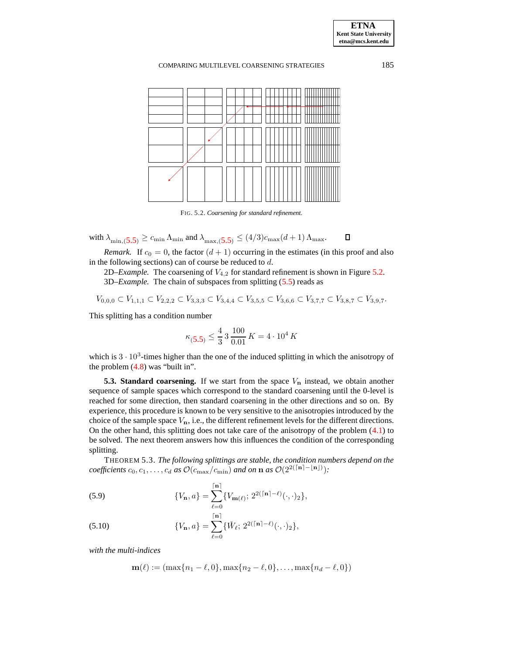

FIG. 5.2. *Coarsening for standard refinement.*

with  $\lambda_{\min,5.5} \geq c_{\min} \Lambda_{\min}$  $\lambda_{\min,5.5} \geq c_{\min} \Lambda_{\min}$  $\lambda_{\min,5.5} \geq c_{\min} \Lambda_{\min}$  and  $\lambda_{\max,5.5} \leq (4/3)c_{\max}(d+1) \Lambda_{\max}$ .  $\Box$ 

*Remark.* If  $c_0 = 0$ , the factor  $(d + 1)$  occurring in the estimates (in this proof and also in the following sections) can of course be reduced to  $d$ .

2D–*Example*. The coarsening of  $V_{4,2}$  for standard refinement is shown in Figure [5.2.](#page-14-1) 3D*–Example.* The chain of subspaces from splitting [\(5.5\)](#page-5-0) reads as

$$
V_{0,0,0} \subset V_{1,1,1} \subset V_{2,2,2} \subset V_{3,3,3} \subset V_{3,4,4} \subset V_{3,5,5} \subset V_{3,6,6} \subset V_{3,7,7} \subset V_{3,8,7} \subset V_{3,9,7}.
$$

This splitting has a condition number

$$
\kappa_{(\mathbf{5.5})} \le \frac{4}{3} \cdot 3 \cdot \frac{100}{0.01} K = 4 \cdot 10^4 K
$$

which is  $3 \cdot 10^3$ -times higher than the one of the induced splitting in which the anisotropy of the problem [\(4.8\)](#page-3-1) was "built in".

**5.3. Standard coarsening.** If we start from the space  $V_n$  instead, we obtain another sequence of sample spaces which correspond to the standard coarsening until the 0-level is reached for some direction, then standard coarsening in the other directions and so on. By experience, this procedure is known to be very sensitive to the anisotropies introduced by the choice of the sample space  $V_n$ , i.e., the different refinement levels for the different directions. On the other hand, this splitting does not take care of the anisotropy of the problem [\(4.1\)](#page-2-1) to be solved. The next theorem answers how this influences the condition of the corresponding splitting.

THEOREM 5.3. *The following splittings are stable, the condition numbers depend on the*  $\omega$  *coefficients*  $c_0, c_1, \ldots, c_d$  *as*  $\mathcal{O}(c_{\max}/c_{\min})$  *and on* **n** *as*  $\mathcal{O}(2^{2(\lceil n \rceil - \lfloor n \rfloor)})$ :

<span id="page-7-0"></span>(5.9) 
$$
\{V_{\mathbf{n}}, a\} = \sum_{\ell=0}^{|\mathbf{n}|} \{V_{\mathbf{m}(\ell)}; 2^{2(|\mathbf{n}|-\ell)}(\cdot, \cdot)_2\},
$$

dnessen.<br>Der en ser

(5.10) 
$$
\{V_{\mathbf{n}}, a\} = \sum_{\ell=0}^{|\mathbf{n}|} \{\check{W}_{\ell}; 2^{2(|\mathbf{n}|-\ell)}(\cdot, \cdot)_2\},
$$

*with the multi-indices*

$$
\mathbf{m}(\ell) := (\max\{n_1 - \ell, 0\}, \max\{n_2 - \ell, 0\}, \dots, \max\{n_d - \ell, 0\})
$$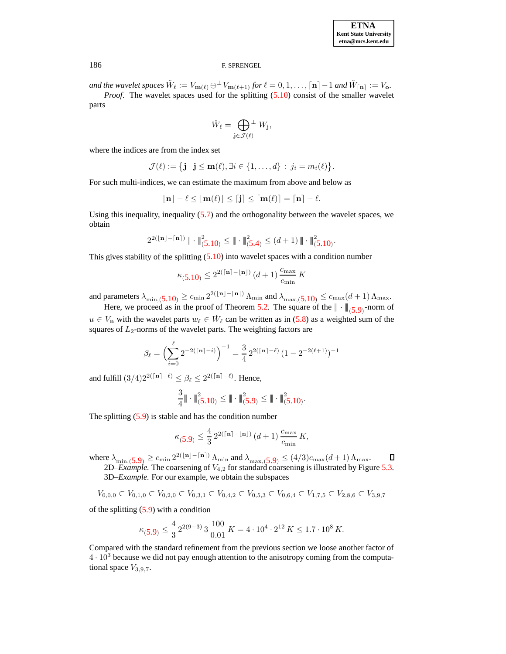and the wavelet spaces  $\check{W}_\ell := V_{\mathbf{m}(\ell)} \ominus \perp V_{\mathbf{m}(\ell+1)}$  for  $\ell = 0, 1, \ldots, \lceil \mathbf{n} \rceil - 1$  and  $\check{W}_{\lceil \mathbf{n} \rceil} := V_{\mathbf{o}}$ .

*Proof.* The wavelet spaces used for the splitting [\(5.10\)](#page-7-0) consist of the smaller wavelet parts

$$
\check{W}_{\ell} = \bigoplus_{\mathbf{j} \in \mathcal{J}(\ell)}^{\perp} W_{\mathbf{j}},
$$

where the indices are from the index set

$$
\mathcal{J}(\ell) := \{ \mathbf{j} \mid \mathbf{j} \leq \mathbf{m}(\ell), \exists i \in \{1,\ldots,d\} \, : \, j_i = m_i(\ell) \}.
$$

For such multi-indices, we can estimate the maximum from above and below as

$$
\lfloor \mathbf{m} \rfloor - \ell \leq \lfloor \mathbf{m}(\ell) \rfloor \leq \lceil \mathbf{j} \rceil \leq \lceil \mathbf{m}(\ell) \rceil = \lceil \mathbf{n} \rceil - \ell.
$$

Using this inequality, inequality [\(5.7\)](#page-6-0) and the orthogonality between the wavelet spaces, we obtain

$$
2^{2(\lfloor n\rfloor - \lceil n\rceil)} \,\|\cdot\|_{(5.10)}^2 \leq \|\cdot\|_{(5.4)}^2 \leq (d+1) \, \|\cdot\|_{(5.10)}^2.
$$

This gives stability of the splitting  $(5.10)$  into wavelet spaces with a condition number

$$
\kappa_{(\mathbf{5.10})} \leq 2^{2(\lceil \mathbf{n} \rceil - \lfloor \mathbf{n} \rfloor)}\,(d+1)\,\frac{c_{\max}}{c_{\min}}\,K
$$

and parameters  $\lambda_{\min,(5.10)} \ge c_{\min} 2^{2(\lfloor n \rfloor - \lceil n \rceil)} \Lambda_{\min}$  $\lambda_{\min,(5.10)} \ge c_{\min} 2^{2(\lfloor n \rfloor - \lceil n \rceil)} \Lambda_{\min}$  $\lambda_{\min,(5.10)} \ge c_{\min} 2^{2(\lfloor n \rfloor - \lceil n \rceil)} \Lambda_{\min}$  and  $\lambda_{\max,(5.10)} \le c_{\max}(d+1) \Lambda_{\max}$ .

Here, we proceed as in the proof of Theorem [5.2.](#page-5-1) The square of the  $|| \cdot ||_{(5.9)}$  $|| \cdot ||_{(5.9)}$  $|| \cdot ||_{(5.9)}$ -norm of  $u \in V_n$  with the wavelet parts  $w_\ell \in \check{W}_\ell$  can be written as in [\(5.8\)](#page-6-1) as a weighted sum of the squares of  $L_2$ -norms of the wavelet parts. The weighting factors are

$$
\beta_{\ell} = \left(\sum_{i=0}^{\ell} 2^{-2(\lceil \mathbf{n} \rceil - i)}\right)^{-1} = \frac{3}{4} 2^{2(\lceil \mathbf{n} \rceil - \ell)} (1 - 2^{-2(\ell+1)})^{-1}
$$

and fulfill  $(3/4)2^{2(\lceil n\rceil - \ell)} \leq \beta_{\ell} \leq 2^{2(\lceil n\rceil - \ell)}$ . Hence,

$$
\frac{3}{4} \|\cdot\|_{(5.10)}^2 \leq \|\cdot\|_{(5.9)}^2 \leq \|\cdot\|_{(5.10)}^2.
$$

The splitting  $(5.9)$  is stable and has the condition number

$$
\kappa_{(5.9)} \le \frac{4}{3} \, 2^{2(\lceil n \rceil - \lfloor n \rfloor)} \, (d+1) \, \frac{c_{\text{max}}}{c_{\text{min}}} \, K,
$$

where  $\lambda_{\min,5.9} \geq c_{\min} 2^{2(|\mathbf{n}| - \lceil \mathbf{n} \rceil)} \Lambda_{\min}$  $\lambda_{\min,5.9} \geq c_{\min} 2^{2(|\mathbf{n}| - \lceil \mathbf{n} \rceil)} \Lambda_{\min}$  $\lambda_{\min,5.9} \geq c_{\min} 2^{2(|\mathbf{n}| - \lceil \mathbf{n} \rceil)} \Lambda_{\min}$  and  $\lambda_{\max,5.9} \leq (4/3)c_{\max}(d+1) \Lambda_{\max}$ .

2D–*Example*. The coarsening of  $V_{4,2}$  for standard coarsening is illustrated by Figure [5.3.](#page-14-2) 3D*–Example.* For our example, we obtain the subspaces

$$
V_{0,0,0} \subset V_{0,1,0} \subset V_{0,2,0} \subset V_{0,3,1} \subset V_{0,4,2} \subset V_{0,5,3} \subset V_{0,6,4} \subset V_{1,7,5} \subset V_{2,8,6} \subset V_{3,9,7}
$$

of the splitting  $(5.9)$  with a condition

$$
\kappa_{(5.9)} \le \frac{4}{3} 2^{2(9-3)} 3 \frac{100}{0.01} K = 4 \cdot 10^4 \cdot 2^{12} K \le 1.7 \cdot 10^8 K.
$$

Compared with the standard refinement from the previous section we loose another factor of  $4 \cdot 10^3$  because we did not pay enough attention to the anisotropy coming from the computational space  $V_{3,9,7}$ .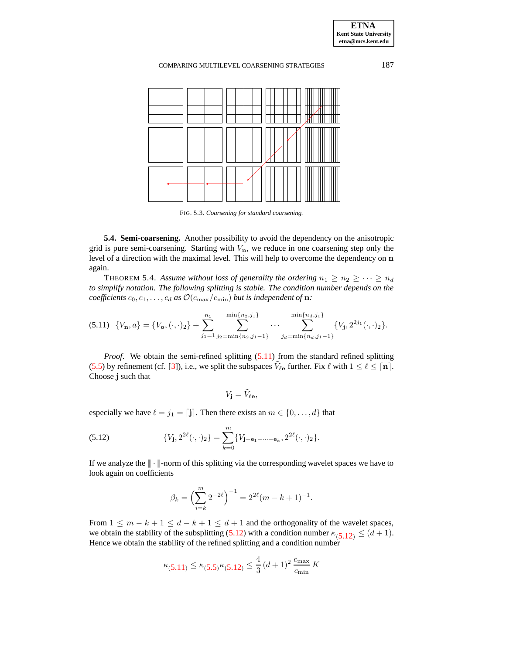**ETNA Kent State University etna@mcs.kent.edu**

### COMPARING MULTILEVEL COARSENING STRATEGIES 187



<span id="page-9-0"></span>FIG. 5.3. *Coarsening for standard coarsening.*

**5.4. Semi-coarsening.** Another possibility to avoid the dependency on the anisotropic grid is pure semi-coarsening. Starting with  $V_n$ , we reduce in one coarsening step only the level of a direction with the maximal level. This will help to overcome the dependency on n again.

THEOREM 5.4. Assume without loss of generality the ordering  $n_1 \geq n_2 \geq \cdots \geq n_d$ *to simplify notation. The following splitting is stable. The condition number depends on the coefficients*  $c_0, c_1, \ldots, c_d$  *as*  $\mathcal{O}(c_{\text{max}}/c_{\text{min}})$  *but is independent of* **n**:

$$
(5.11) \ \{V_{\mathbf{n}},a\} = \{V_{\mathbf{o}},(\cdot,\cdot)_2\} + \sum_{j_1=1}^{n_1} \sum_{j_2=\min\{n_2,j_1-1\}}^{\min\{n_2,j_1\}} \cdots \sum_{j_d=\min\{n_d,j_1-1\}}^{\min\{n_d,j_1\}} \{V_{\mathbf{j}},2^{2j_1}(\cdot,\cdot)_2\}.
$$

*Proof.* We obtain the semi-refined splitting  $(5.11)$  from the standard refined splitting [\(5.5\)](#page-5-0) by refinement (cf. [\[3\]](#page-16-2)), i.e., we split the subspaces  $V_{\ell e}$  further. Fix  $\ell$  with  $1 \leq \ell \leq \lceil n \rceil$ . Choose j such that

<span id="page-9-1"></span>
$$
V_{\mathbf{j}}=\tilde{V}_{\ell \mathbf{e}},
$$

especially we have  $\ell = j_1 = [\mathbf{j}]$ . Then there exists an  $m \in \{0, \ldots, d\}$  that

(5.12) 
$$
\{V_{\mathbf{j}}, 2^{2\ell}(\cdot, \cdot)_{2}\} = \sum_{k=0}^{m} \{V_{\mathbf{j}-\mathbf{e}_{1}-\cdots-\mathbf{e}_{k}}, 2^{2\ell}(\cdot, \cdot)_{2}\}.
$$

If we analyze the  $\|\cdot\|$ -norm of this splitting via the corresponding wavelet spaces we have to look again on coefficients

$$
\beta_k = \left(\sum_{i=k}^m 2^{-2\ell}\right)^{-1} = 2^{2\ell}(m-k+1)^{-1}.
$$

From  $1 \leq m - k + 1 \leq d - k + 1 \leq d + 1$  and the orthogonality of the wavelet spaces, we obtain the stability of the subsplitting [\(5.12\)](#page-9-1) with a condition number  $\kappa_{(5,12)} \leq (d+1)$ . Hence we obtain the stability of the refined splitting and a condition number

$$
\kappa_{(5.11)} \le \kappa_{(5.5)} \kappa_{(5.12)} \le \frac{4}{3} (d+1)^2 \frac{c_{\text{max}}}{c_{\text{min}}} K
$$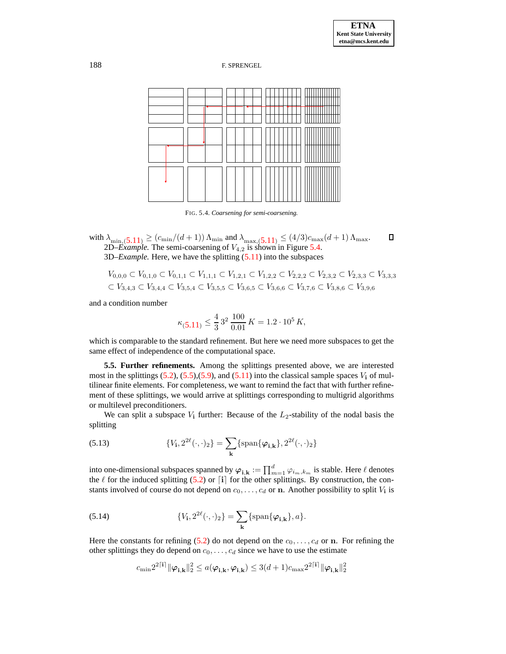

FIG. 5.4. *Coarsening for semi-coarsening.*

with  $\lambda_{\min,(5.11)} \geq (c_{\min}/(d+1)) \Lambda_{\min}$  $\lambda_{\min,(5.11)} \geq (c_{\min}/(d+1)) \Lambda_{\min}$  $\lambda_{\min,(5.11)} \geq (c_{\min}/(d+1)) \Lambda_{\min}$  and  $\lambda_{\max,(5.11)} \leq (4/3)c_{\max}(d+1) \Lambda_{\max}$ . O 2D– $\hat{Example}$ . The semi-coarsening of  $V_{4,2}$  is shown in Figure [5.4.](#page-15-0) 3D*–Example.* Here, we have the splitting [\(5.11\)](#page-9-0) into the subspaces

$$
V_{0,0,0} \subset V_{0,1,0} \subset V_{0,1,1} \subset V_{1,1,1} \subset V_{1,2,1} \subset V_{1,2,2} \subset V_{2,2,2} \subset V_{2,3,2} \subset V_{2,3,3} \subset V_{3,3,3}
$$
  

$$
\subset V_{3,4,3} \subset V_{3,4,4} \subset V_{3,5,4} \subset V_{3,5,5} \subset V_{3,6,5} \subset V_{3,6,6} \subset V_{3,7,6} \subset V_{3,8,6} \subset V_{3,9,6}
$$

and a condition number

$$
\kappa_{(5.11)} \le \frac{4}{3} 3^2 \frac{100}{0.01} K = 1.2 \cdot 10^5 K,
$$

which is comparable to the standard refinement. But here we need more subspaces to get the same effect of independence of the computational space.

**5.5. Further refinements.** Among the splittings presented above, we are interested most in the splittings  $(5.2)$ ,  $(5.5)$ ,  $(5.9)$ , and  $(5.11)$  into the classical sample spaces  $V_i$  of multilinear finite elements. For completeness, we want to remind the fact that with further refinement of these splittings, we would arrive at splittings corresponding to multigrid algorithms or multilevel preconditioners.

<span id="page-10-0"></span>We can split a subspace  $V_i$  further: Because of the  $L_2$ -stability of the nodal basis the splitting

(5.13) 
$$
\{V_{\mathbf{i}}, 2^{2\ell}(\cdot, \cdot)_{2}\} = \sum_{\mathbf{k}} \{\text{span}\{\varphi_{\mathbf{i}, \mathbf{k}}\}, 2^{2\ell}(\cdot, \cdot)_{2}\}
$$

<span id="page-10-1"></span>into one-dimensional subspaces spanned by  $\varphi_{\mathbf{i},\mathbf{k}}:=\prod_{m=1}^d\varphi_{i_m,k_m}$  is stable. Here  $\ell$  denotes the  $\ell$  for the induced splitting [\(5.2\)](#page-4-1) or  $\lceil i \rceil$  for the other splittings. By construction, the constants involved of course do not depend on  $c_0, \ldots, c_d$  or n. Another possibility to split  $V_i$  is

(5.14) 
$$
\{V_{\mathbf{i}}, 2^{2\ell}(\cdot, \cdot)_2\} = \sum_{\mathbf{k}} \{\text{span}\{\boldsymbol{\varphi}_{\mathbf{i}, \mathbf{k}}\}, a\}.
$$

Here the constants for refining [\(5.2\)](#page-4-1) do not depend on the  $c_0, \ldots, c_d$  or n. For refining the other splittings they do depend on  $c_0, \ldots, c_d$  since we have to use the estimate

$$
c_{\min} 2^{2\lceil i \rceil} \|\varphi_{\mathbf{i},\mathbf{k}}\|_2^2 \le a(\varphi_{\mathbf{i},\mathbf{k}},\varphi_{\mathbf{i},\mathbf{k}}) \le 3(d+1)c_{\max} 2^{2\lceil i \rceil} \|\varphi_{\mathbf{i},\mathbf{k}}\|_2^2
$$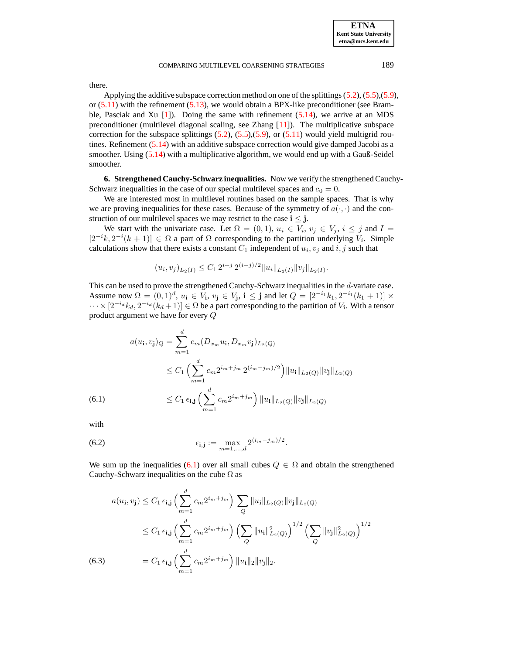there.

Applying the additive subspace correction method on one of the splittings  $(5.2)$ ,  $(5.5)$ , $(5.9)$ , or  $(5.11)$  with the refinement  $(5.13)$ , we would obtain a BPX-like preconditioner (see Bramble, Pasciak and Xu  $[1]$ . Doing the same with refinement  $(5.14)$ , we arrive at an MDS preconditioner (multilevel diagonal scaling, see Zhang [\[11\]](#page-16-9)). The multiplicative subspace correction for the subspace splittings  $(5.2)$ ,  $(5.5)$ , $(5.9)$ , or  $(5.11)$  would yield multigrid routines. Refinement [\(5.14\)](#page-10-1) with an additive subspace correction would give damped Jacobi as a smoother. Using [\(5.14\)](#page-10-1) with a multiplicative algorithm, we would end up with a Gauß-Seidel smoother.

**6. Strengthened Cauchy-Schwarz inequalities.** Now we verify the strengthenedCauchy-Schwarz inequalities in the case of our special multilevel spaces and  $c_0 = 0$ .

We are interested most in multilevel routines based on the sample spaces. That is why we are proving inequalities for these cases. Because of the symmetry of  $a(\cdot, \cdot)$  and the construction of our multilevel spaces we may restrict to the case  $i \leq j$ .

We start with the univariate case. Let  $\Omega = (0,1)$ ,  $u_i \in V_i$ ,  $v_j \in V_j$ ,  $i \leq j$  and  $I =$  $[2^{-i}k, 2^{-i}(k+1)] \in \Omega$  a part of  $\Omega$  corresponding to the partition underlying  $V_i$ . Simple calculations show that there exists a constant  $C_1$  independent of  $u_i, v_j$  and  $i, j$  such that

$$
(u_i, v_j)_{L_2(I)} \le C_1 2^{i+j} 2^{(i-j)/2} \|u_i\|_{L_2(I)} \|v_j\|_{L_2(I)}.
$$

This can be used to prove the strengthened Cauchy-Schwarz inequalities in the d-variate case. Assume now  $\Omega = (0,1)^d$ ,  $u_i \in V_i$ ,  $v_j \in V_j$ ,  $i \le j$  and let  $Q = [2^{-i_1}k_1, 2^{-i_1}(k_1 + 1)] \times$  $\cdots \times [2^{-i_d}k_d, 2^{-i_d}(k_d+1)] \in \Omega$  be a part corresponding to the partition of  $V_1$ . With a tensor product argument we have for every Q

<span id="page-11-0"></span>
$$
a(u_{\mathbf{i}}, v_{\mathbf{j}})_{Q} = \sum_{m=1}^{d} c_{m} (D_{x_{m}} u_{\mathbf{i}}, D_{x_{m}} v_{\mathbf{j}})_{L_{2}(Q)}
$$
  

$$
\leq C_{1} \left( \sum_{m=1}^{d} c_{m} 2^{i_{m} + j_{m}} 2^{(i_{m} - j_{m})/2} \right) ||u_{\mathbf{i}}||_{L_{2}(Q)} ||v_{\mathbf{j}}||_{L_{2}(Q)}
$$
  
(6.1)  

$$
\leq C_{1} \epsilon_{\mathbf{i}, \mathbf{j}} \left( \sum_{m=1}^{d} c_{m} 2^{i_{m} + j_{m}} \right) ||u_{\mathbf{i}}||_{L_{2}(Q)} ||v_{\mathbf{j}}||_{L_{2}(Q)}
$$

<span id="page-11-2"></span>with

(6.2) 
$$
\epsilon_{i,j} := \max_{m=1,\dots,d} 2^{(i_m - j_m)/2}.
$$

We sum up the inequalities [\(6.1\)](#page-11-0) over all small cubes  $Q \in \Omega$  and obtain the strengthened Cauchy-Schwarz inequalities on the cube  $\Omega$  as

<span id="page-11-1"></span>
$$
a(u_{\mathbf{i}}, v_{\mathbf{j}}) \leq C_1 \epsilon_{\mathbf{i}, \mathbf{j}} \left( \sum_{m=1}^d c_m 2^{i_m + j_m} \right) \sum_Q \|u_{\mathbf{i}}\|_{L_2(Q)} \|v_{\mathbf{j}}\|_{L_2(Q)}
$$
  
\n
$$
\leq C_1 \epsilon_{\mathbf{i}, \mathbf{j}} \left( \sum_{m=1}^d c_m 2^{i_m + j_m} \right) \left( \sum_Q \|u_{\mathbf{i}}\|_{L_2(Q)}^2 \right)^{1/2} \left( \sum_Q \|v_{\mathbf{j}}\|_{L_2(Q)}^2 \right)^{1/2}
$$
  
\n(6.3)  
\n
$$
= C_1 \epsilon_{\mathbf{i}, \mathbf{j}} \left( \sum_{m=1}^d c_m 2^{i_m + j_m} \right) \|u_{\mathbf{i}}\|_2 \|v_{\mathbf{j}}\|_2.
$$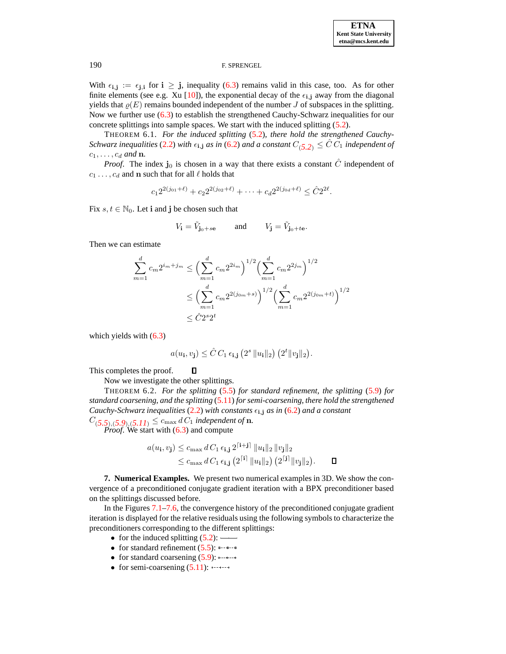With  $\epsilon_{i,j} := \epsilon_{j,i}$  for  $i \geq j$ , inequality [\(6.3\)](#page-11-1) remains valid in this case, too. As for other finite elements (see e.g. Xu [\[10\]](#page-16-10)), the exponential decay of the  $\epsilon_{i,j}$  away from the diagonal yields that  $\varrho(E)$  remains bounded independent of the number J of subspaces in the splitting. Now we further use [\(6.3\)](#page-11-1) to establish the strengthened Cauchy-Schwarz inequalities for our concrete splittings into sample spaces. We start with the induced splitting [\(5.2\)](#page-4-1).

THEOREM 6.1. *For the induced splitting* [\(5.2\)](#page-4-1)*, there hold the strengthened Cauchy-Schwarz inequalities* [\(2.2\)](#page-1-1) *with*  $\epsilon_{i,j}$  *as in* [\(6.2\)](#page-11-2) *and a constant*  $C_{(5,2)} \leq \hat{C} C_1$  *independent of*  $c_1, \ldots, c_d$  and **n**.

*Proof.* The index  $\mathbf{j}_0$  is chosen in a way that there exists a constant  $\hat{C}$  independent of  $c_1 \ldots, c_d$  and n such that for all  $\ell$  holds that

$$
c_1 2^{2(j_{01}+\ell)} + c_2 2^{2(j_{02}+\ell)} + \cdots + c_d 2^{2(j_{0d}+\ell)} \leq \hat{C} 2^{2\ell}.
$$

Fix  $s, t \in \mathbb{N}_0$ . Let i and j be chosen such that

$$
V_{\mathbf{i}} = \tilde{V}_{\mathbf{j}_0 + s\mathbf{e}} \quad \text{and} \quad V_{\mathbf{j}} = \tilde{V}_{\mathbf{j}_0 + t\mathbf{e}}.
$$

Then we can estimate

$$
\sum_{m=1}^{d} c_m 2^{i_m + j_m} \le \left(\sum_{m=1}^{d} c_m 2^{2i_m}\right)^{1/2} \left(\sum_{m=1}^{d} c_m 2^{2j_m}\right)^{1/2}
$$

$$
\le \left(\sum_{m=1}^{d} c_m 2^{2(j_{0m}+s)}\right)^{1/2} \left(\sum_{m=1}^{d} c_m 2^{2(j_{0m}+t)}\right)^{1/2}
$$

$$
\le \hat{C} 2^{s} 2^{t}
$$

which yields with  $(6.3)$ 

$$
a(u_{\mathbf{i}}, v_{\mathbf{j}}) \leq \hat{C} C_1 \epsilon_{\mathbf{i}, \mathbf{j}} \left( 2^s \left\| u_{\mathbf{i}} \right\|_2 \right) \left( 2^t \left\| v_{\mathbf{j}} \right\|_2 \right).
$$

This completes the proof.

Now we investigate the other splittings.

 $\Box$ 

THEOREM 6.2. *For the splitting* [\(5.5\)](#page-5-0) *for standard refinement, the splitting* [\(5.9\)](#page-7-0) *for standard coarsening, and the splitting* [\(5.11\)](#page-9-0) *for semi-coarsening, there hold the strengthened Cauchy-Schwarz inequalities* [\(2.2\)](#page-1-1) *with constants*  $\epsilon_{i,j}$  *as in* [\(6.2\)](#page-11-2) *and a constant*  $C_{(5,5),(5,9),(5,11)} \leq c_{\text{max}} d C_1$  *independent of* **n**.

*Proof.* We start with [\(6.3\)](#page-11-1) and compute

$$
a(u_{\mathbf{i}}, v_{\mathbf{j}}) \leq c_{\max} d C_1 \epsilon_{\mathbf{i}, \mathbf{j}} 2^{\lceil \mathbf{i} + \mathbf{j} \rceil} ||u_{\mathbf{i}}||_2 ||v_{\mathbf{j}}||_2
$$
  
 
$$
\leq c_{\max} d C_1 \epsilon_{\mathbf{i}, \mathbf{j}} (2^{\lceil \mathbf{i} \rceil} ||u_{\mathbf{i}}||_2) (2^{\lceil \mathbf{j} \rceil} ||v_{\mathbf{j}}||_2).
$$

**7. Numerical Examples.** We present two numerical examples in 3D. We show the convergence of a preconditioned conjugate gradient iteration with a BPX preconditioner based on the splittings discussed before.

In the Figures [7.1](#page-14-0)[–7.6,](#page-15-1) the convergence history of the preconditioned conjugate gradient iteration is displayed for the relative residuals using the following symbols to characterize the preconditioners corresponding to the different splittings:

- for the induced splitting  $(5.2)$ : -
- for standard refinement  $(5.5)$ :  $\frac{1}{2}$
- for standard coarsening  $(5.9)$ :  $\circ \circ \circ \circ \circ \circ$
- for semi-coarsening  $(5.11)$ :  $\dots$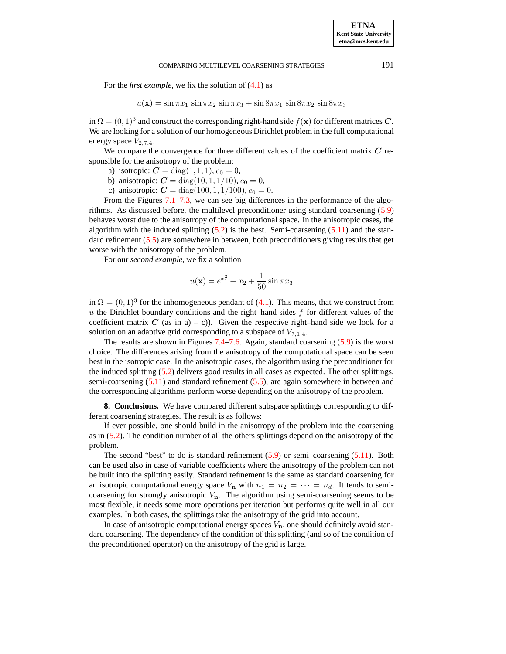For the *first example*, we fix the solution of [\(4.1\)](#page-2-1) as

$$
u(\mathbf{x}) = \sin \pi x_1 \, \sin \pi x_2 \, \sin \pi x_3 + \sin 8\pi x_1 \, \sin 8\pi x_2 \, \sin 8\pi x_3
$$

in  $\Omega = (0, 1)^3$  and construct the corresponding right-hand side  $f(\mathbf{x})$  for different matrices C. We are looking for a solution of our homogeneous Dirichlet problem in the full computational energy space  $V_{2,7,4}$ .

We compare the convergence for three different values of the coefficient matrix  $C$  responsible for the anisotropy of the problem:

- a) isotropic:  $C = diag(1, 1, 1), c_0 = 0,$
- b) anisotropic:  $C = diag(10, 1, 1/10), c_0 = 0,$
- c) anisotropic:  $C = diag(100, 1, 1/100), c_0 = 0.$

From the Figures [7.1](#page-14-0)[–7.3,](#page-14-2) we can see big differences in the performance of the algorithms. As discussed before, the multilevel preconditioner using standard coarsening [\(5.9\)](#page-7-0) behaves worst due to the anisotropy of the computational space. In the anisotropic cases, the algorithm with the induced splitting  $(5.2)$  is the best. Semi-coarsening  $(5.11)$  and the stan-dard refinement [\(5.5\)](#page-5-0) are somewhere in between, both preconditioners giving results that get worse with the anisotropy of the problem.

For our *second example*, we fix a solution

$$
u(\mathbf{x}) = e^{x_1^2} + x_2 + \frac{1}{50} \sin \pi x_3
$$

in  $\Omega = (0, 1)^3$  for the inhomogeneous pendant of [\(4.1\)](#page-2-1). This means, that we construct from  $u$  the Dirichlet boundary conditions and the right–hand sides  $f$  for different values of the coefficient matrix C (as in a) – c)). Given the respective right–hand side we look for a solution on an adaptive grid corresponding to a subspace of  $V_{7,1,4}$ .

The results are shown in Figures [7.4](#page-15-0)[–7.6.](#page-15-1) Again, standard coarsening [\(5.9\)](#page-7-0) is the worst choice. The differences arising from the anisotropy of the computational space can be seen best in the isotropic case. In the anisotropic cases, the algorithm using the preconditioner for the induced splitting [\(5.2\)](#page-4-1) delivers good results in all cases as expected. The other splittings, semi-coarsening [\(5.11\)](#page-9-0) and standard refinement [\(5.5\)](#page-5-0), are again somewhere in between and the corresponding algorithms perform worse depending on the anisotropy of the problem.

**8. Conclusions.** We have compared different subspace splittings corresponding to different coarsening strategies. The result is as follows:

If ever possible, one should build in the anisotropy of the problem into the coarsening as in [\(5.2\)](#page-4-1). The condition number of all the others splittings depend on the anisotropy of the problem.

The second "best" to do is standard refinement  $(5.9)$  or semi–coarsening  $(5.11)$ . Both can be used also in case of variable coefficients where the anisotropy of the problem can not be built into the splitting easily. Standard refinement is the same as standard coarsening for an isotropic computational energy space  $V_n$  with  $n_1 = n_2 = \cdots = n_d$ . It tends to semicoarsening for strongly anisotropic  $V_n$ . The algorithm using semi-coarsening seems to be most flexible, it needs some more operations per iteration but performs quite well in all our examples. In both cases, the splittings take the anisotropy of the grid into account.

In case of anisotropic computational energy spaces  $V_{\mathbf{n}}$ , one should definitely avoid standard coarsening. The dependency of the condition of this splitting (and so of the condition of the preconditioned operator) on the anisotropy of the grid is large.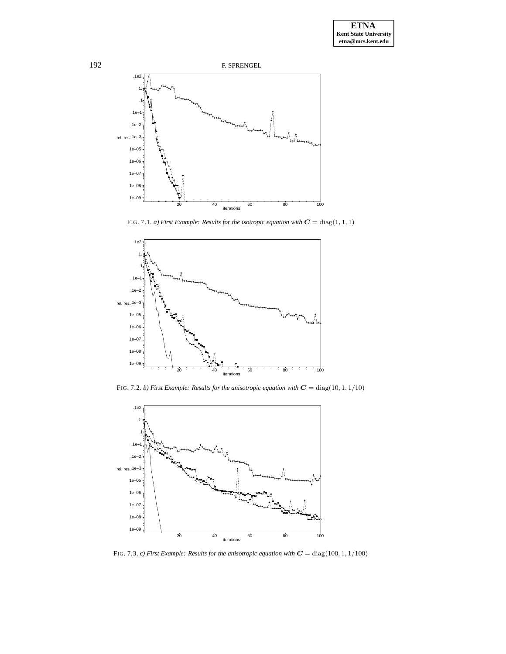

FIG. 7.1. *a*) *First Example: Results for the isotropic equation with*  $C = diag(1, 1, 1)$ 

<span id="page-14-0"></span>

FIG. 7.2. *b) First Example: Results for the anisotropic equation with* C = diag(10, 1, 1/10)

<span id="page-14-1"></span>

<span id="page-14-2"></span>FIG. 7.3. *c) First Example: Results for the anisotropic equation with* C = diag(100, 1, 1/100)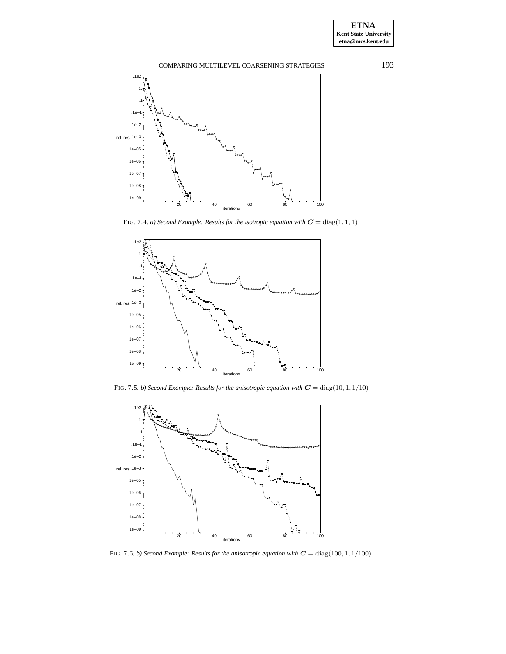

FIG. 7.4. *a*) *Second Example: Results for the isotropic equation with*  $C = diag(1, 1, 1)$ 

<span id="page-15-0"></span>

FIG. 7.5. *b) Second Example: Results for the anisotropic equation with* C = diag(10, 1, 1/10)



<span id="page-15-1"></span>FIG. 7.6. *b*) *Second Example: Results for the anisotropic equation with*  $C = diag(100, 1, 1/100)$